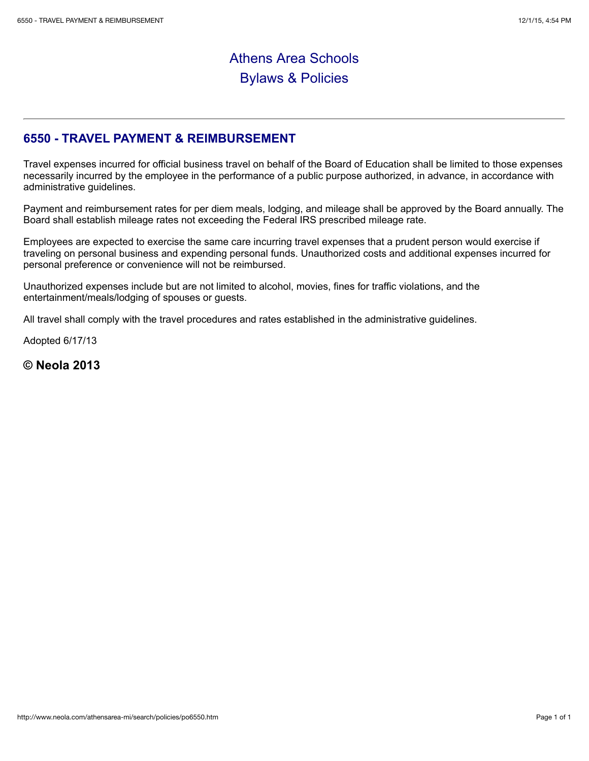## Athens Area Schools Bylaws & Policies

## **6550 - TRAVEL PAYMENT & REIMBURSEMENT**

Travel expenses incurred for official business travel on behalf of the Board of Education shall be limited to those expenses necessarily incurred by the employee in the performance of a public purpose authorized, in advance, in accordance with administrative guidelines.

Payment and reimbursement rates for per diem meals, lodging, and mileage shall be approved by the Board annually. The Board shall establish mileage rates not exceeding the Federal IRS prescribed mileage rate.

Employees are expected to exercise the same care incurring travel expenses that a prudent person would exercise if traveling on personal business and expending personal funds. Unauthorized costs and additional expenses incurred for personal preference or convenience will not be reimbursed.

Unauthorized expenses include but are not limited to alcohol, movies, fines for traffic violations, and the entertainment/meals/lodging of spouses or guests.

All travel shall comply with the travel procedures and rates established in the administrative guidelines.

Adopted 6/17/13

**© Neola 2013**